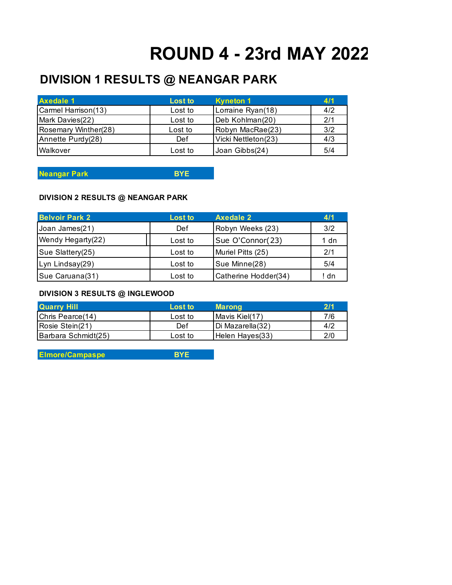## **ROUND 4 - 23rd MAY 2022**

## **DIVISION 1 RESULTS @ NEANGAR PARK**

| <b>Axedale 1</b>     | Lost to | <b>Kyneton 1</b>    | 4/1 |
|----------------------|---------|---------------------|-----|
| Carmel Harrison(13)  | Lost to | Lorraine Ryan(18)   | 4/2 |
| Mark Davies(22)      | Lost to | Deb Kohlman(20)     | 2/1 |
| Rosemary Winther(28) | Lost to | Robyn MacRae(23)    | 3/2 |
| Annette Purdy(28)    | Def     | Vicki Nettleton(23) | 4/3 |
| Walkover             | Lost to | Joan Gibbs(24)      | 5/4 |

**Neangar Park BYE**

## **DIVISION 2 RESULTS @ NEANGAR PARK**

| <b>Belvoir Park 2</b> | Lost to | <b>Axedale 2</b>     | 4/1  |
|-----------------------|---------|----------------------|------|
| Joan James(21)        | Def     | Robyn Weeks (23)     | 3/2  |
| Wendy Hegarty(22)     | Lost to | Sue O'Connor(23)     | 1 dn |
| Sue Slattery(25)      | Lost to | Muriel Pitts (25)    | 2/1  |
| Lyn Lindsay(29)       | Lost to | Sue Minne(28)        | 5/4  |
| Sue Caruana(31)       | Lost to | Catherine Hodder(34) | ! dn |

## **DIVISION 3 RESULTS @ INGLEWOOD**

| <b>Quarry Hill</b>  | Lost to | <b>Marong</b>    | 2/1 |
|---------------------|---------|------------------|-----|
| Chris Pearce(14)    | Lost to | Mavis Kiel(17)   | 7/6 |
| Rosie Stein(21)     | Def     | Di Mazarella(32) | 4/2 |
| Barbara Schmidt(25) | Lost to | Helen Hayes(33)  | 2/0 |

**Elmore/Campaspe BYE**